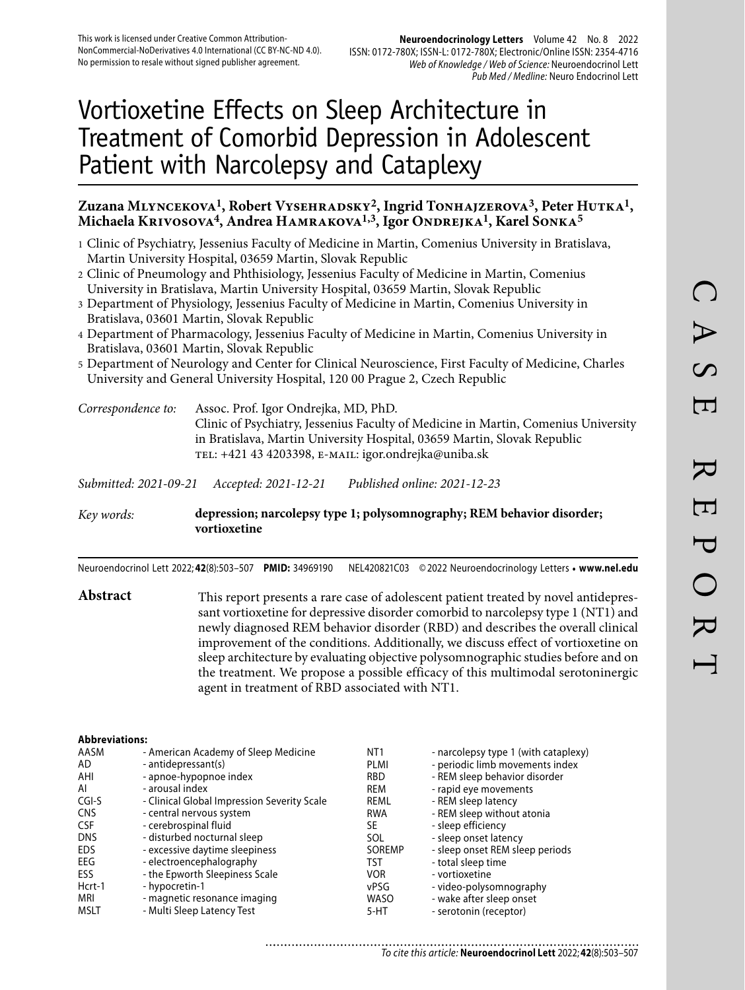#### **Neuroendocrinology Letters** Volume 42 No. 8 2022 ISSN: 0172-780X; ISSN-L: 0172-780X; Electronic/Online ISSN: 2354-4716 Web of Knowledge / Web of Science: Neuroendocrinol Lett Pub Med / Medline: Neuro Endocrinol Lett

# Vortioxetine Effects on Sleep Architecture in Treatment of Comorbid Depression in Adolescent Patient with Narcolepsy and Cataplexy

# **Zuzana Mlyncekova1, Robert Vysehradsky2, Ingrid Tonhajzerova3, Peter Hutka1, Michaela Krivosova4, Andrea Hamrakova1,3, Igor Ondrejka1, Karel Sonka5**

- 1 Clinic of Psychiatry, Jessenius Faculty of Medicine in Martin, Comenius University in Bratislava, Martin University Hospital, 03659 Martin, Slovak Republic
- 2 Clinic of Pneumology and Phthisiology, Jessenius Faculty of Medicine in Martin, Comenius University in Bratislava, Martin University Hospital, 03659 Martin, Slovak Republic
- 3 Department of Physiology, Jessenius Faculty of Medicine in Martin, Comenius University in Bratislava, 03601 Martin, Slovak Republic
- 4 Department of Pharmacology, Jessenius Faculty of Medicine in Martin, Comenius University in Bratislava, 03601 Martin, Slovak Republic
- 5 Department of Neurology and Center for Clinical Neuroscience, First Faculty of Medicine, Charles University and General University Hospital, 120 00 Prague 2, Czech Republic

*Correspondence to:* Assoc. Prof. Igor Ondrejka, MD, PhD. Clinic of Psychiatry, Jessenius Faculty of Medicine in Martin, Comenius University in Bratislava, Martin University Hospital, 03659 Martin, Slovak Republic tel: +421 43 4203398, e-mail: igor.ondrejka@uniba.sk

*Submitted: 2021-09-21 Accepted: 2021-12-21 Published online: 2021-12-23*

*Key words:* **depression; narcolepsy type 1; polysomnography; REM behavior disorder; vortioxetine** 

Neuroendocrinol Lett 2022; **42**(8):503–507 **PMID:** 34969190 NEL420821C03 © 2022 Neuroendocrinology Letters • **www.nel.edu**

Abstract This report presents a rare case of adolescent patient treated by novel antidepressant vortioxetine for depressive disorder comorbid to narcolepsy type 1 (NT1) and newly diagnosed REM behavior disorder (RBD) and describes the overall clinical improvement of the conditions. Additionally, we discuss effect of vortioxetine on sleep architecture by evaluating objective polysomnographic studies before and on the treatment. We propose a possible efficacy of this multimodal serotoninergic agent in treatment of RBD associated with NT1.

#### **Abbreviations:**

| AASM       | - American Academy of Sleep Medicine        | NT <sub>1</sub> | - narcolepsy type 1 (with cataplexy) |
|------------|---------------------------------------------|-----------------|--------------------------------------|
| AD         | - antidepressant(s)                         | PLMI            | - periodic limb movements index      |
| AHI        | - apnoe-hypopnoe index                      | <b>RBD</b>      | - REM sleep behavior disorder        |
| Al         | - arousal index                             | REM             | - rapid eye movements                |
| CGI-S      | - Clinical Global Impression Severity Scale | REML            | - REM sleep latency                  |
| <b>CNS</b> | - central nervous system                    | <b>RWA</b>      | - REM sleep without atonia           |
| <b>CSF</b> | - cerebrospinal fluid                       | SE              | - sleep efficiency                   |
| <b>DNS</b> | - disturbed nocturnal sleep                 | SOL             | - sleep onset latency                |
| <b>EDS</b> | - excessive daytime sleepiness              | SOREMP          | - sleep onset REM sleep periods      |
| EEG        | - electroencephalography                    | TST             | - total sleep time                   |
| ESS        | - the Epworth Sleepiness Scale              | <b>VOR</b>      | - vortioxetine                       |
| Hcrt-1     | - hypocretin-1                              | vPSG            | - video-polysomnography              |
| MRI        | - magnetic resonance imaging                | <b>WASO</b>     | - wake after sleep onset             |
| MSLT       | - Multi Sleep Latency Test                  | 5-HT            | - serotonin (receptor)               |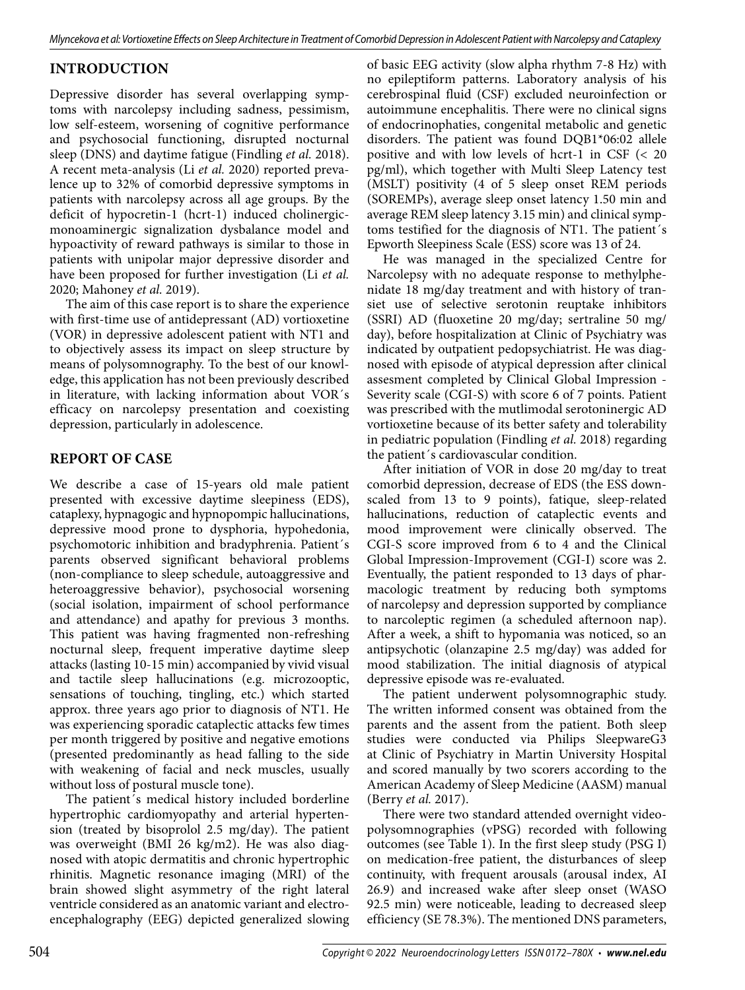# **INTRODUCTION**

Depressive disorder has several overlapping symptoms with narcolepsy including sadness, pessimism, low self-esteem, worsening of cognitive performance and psychosocial functioning, disrupted nocturnal sleep (DNS) and daytime fatigue (Findling *et al.* 2018). A recent meta-analysis (Li *et al.* 2020) reported prevalence up to 32% of comorbid depressive symptoms in patients with narcolepsy across all age groups. By the deficit of hypocretin-1 (hcrt-1) induced cholinergicmonoaminergic signalization dysbalance model and hypoactivity of reward pathways is similar to those in patients with unipolar major depressive disorder and have been proposed for further investigation (Li *et al.* 2020; Mahoney *et al.* 2019).

The aim of this case report is to share the experience with first-time use of antidepressant (AD) vortioxetine (VOR) in depressive adolescent patient with NT1 and to objectively assess its impact on sleep structure by means of polysomnography. To the best of our knowledge, this application has not been previously described in literature, with lacking information about VOR´s efficacy on narcolepsy presentation and coexisting depression, particularly in adolescence.

## **REPORT OF CASE**

We describe a case of 15-years old male patient presented with excessive daytime sleepiness (EDS), cataplexy, hypnagogic and hypnopompic hallucinations, depressive mood prone to dysphoria, hypohedonia, psychomotoric inhibition and bradyphrenia. Patient´s parents observed significant behavioral problems (non-compliance to sleep schedule, autoaggressive and heteroaggressive behavior), psychosocial worsening (social isolation, impairment of school performance and attendance) and apathy for previous 3 months. This patient was having fragmented non-refreshing nocturnal sleep, frequent imperative daytime sleep attacks (lasting 10-15 min) accompanied by vivid visual and tactile sleep hallucinations (e.g. microzooptic, sensations of touching, tingling, etc.) which started approx. three years ago prior to diagnosis of NT1. He was experiencing sporadic cataplectic attacks few times per month triggered by positive and negative emotions (presented predominantly as head falling to the side with weakening of facial and neck muscles, usually without loss of postural muscle tone).

The patient´s medical history included borderline hypertrophic cardiomyopathy and arterial hypertension (treated by bisoprolol 2.5 mg/day). The patient was overweight (BMI 26 kg/m2). He was also diagnosed with atopic dermatitis and chronic hypertrophic rhinitis. Magnetic resonance imaging (MRI) of the brain showed slight asymmetry of the right lateral ventricle considered as an anatomic variant and electroencephalography (EEG) depicted generalized slowing

of basic EEG activity (slow alpha rhythm 7-8 Hz) with no epileptiform patterns. Laboratory analysis of his cerebrospinal fluid (CSF) excluded neuroinfection or autoimmune encephalitis. There were no clinical signs of endocrinophaties, congenital metabolic and genetic disorders. The patient was found DQB1\*06:02 allele positive and with low levels of hcrt-1 in CSF (< 20 pg/ml), which together with Multi Sleep Latency test (MSLT) positivity (4 of 5 sleep onset REM periods (SOREMPs), average sleep onset latency 1.50 min and average REM sleep latency 3.15 min) and clinical symptoms testified for the diagnosis of NT1. The patient´s Epworth Sleepiness Scale (ESS) score was 13 of 24.

He was managed in the specialized Centre for Narcolepsy with no adequate response to methylphenidate 18 mg/day treatment and with history of transiet use of selective serotonin reuptake inhibitors (SSRI) AD (fluoxetine 20 mg/day; sertraline 50 mg/ day), before hospitalization at Clinic of Psychiatry was indicated by outpatient pedopsychiatrist. He was diagnosed with episode of atypical depression after clinical assesment completed by Clinical Global Impression - Severity scale (CGI-S) with score 6 of 7 points. Patient was prescribed with the mutlimodal serotoninergic AD vortioxetine because of its better safety and tolerability in pediatric population (Findling *et al.* 2018) regarding the patient´s cardiovascular condition.

After initiation of VOR in dose 20 mg/day to treat comorbid depression, decrease of EDS (the ESS downscaled from 13 to 9 points), fatique, sleep-related hallucinations, reduction of cataplectic events and mood improvement were clinically observed. The CGI-S score improved from 6 to 4 and the Clinical Global Impression-Improvement (CGI-I) score was 2. Eventually, the patient responded to 13 days of pharmacologic treatment by reducing both symptoms of narcolepsy and depression supported by compliance to narcoleptic regimen (a scheduled afternoon nap). After a week, a shift to hypomania was noticed, so an antipsychotic (olanzapine 2.5 mg/day) was added for mood stabilization. The initial diagnosis of atypical depressive episode was re-evaluated.

The patient underwent polysomnographic study. The written informed consent was obtained from the parents and the assent from the patient. Both sleep studies were conducted via Philips SleepwareG3 at Clinic of Psychiatry in Martin University Hospital and scored manually by two scorers according to the American Academy of Sleep Medicine (AASM) manual (Berry *et al.* 2017).

There were two standard attended overnight videopolysomnographies (vPSG) recorded with following outcomes (see Table 1). In the first sleep study (PSG I) on medication-free patient, the disturbances of sleep continuity, with frequent arousals (arousal index, AI 26.9) and increased wake after sleep onset (WASO 92.5 min) were noticeable, leading to decreased sleep efficiency (SE 78.3%). The mentioned DNS parameters,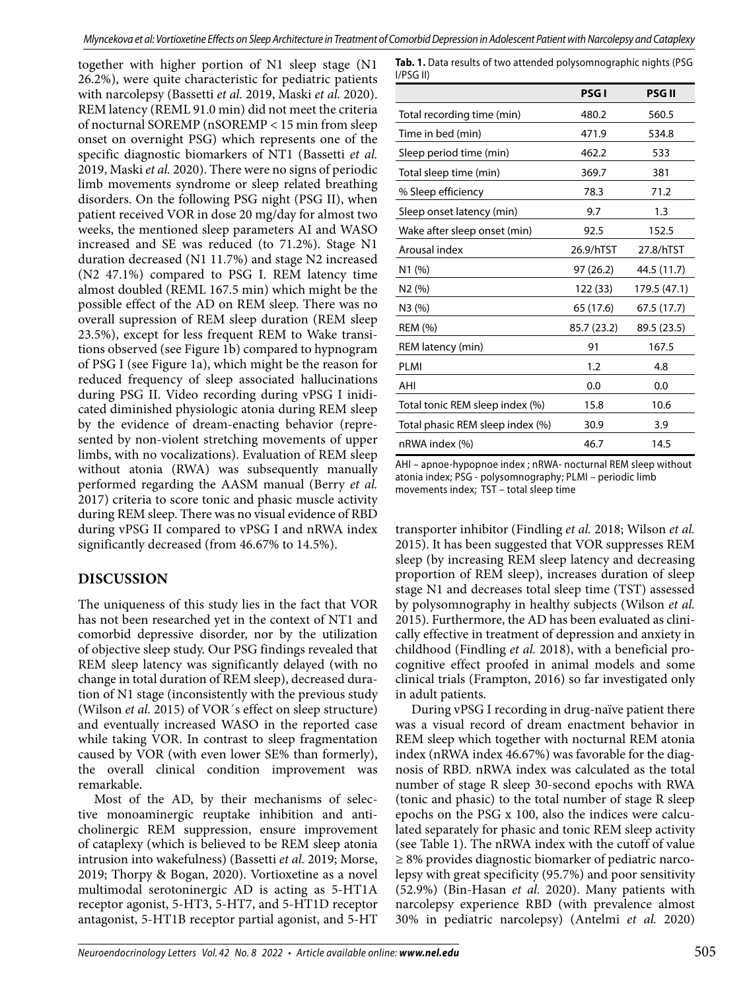together with higher portion of N1 sleep stage (N1 26.2%), were quite characteristic for pediatric patients with narcolepsy (Bassetti *et al.* 2019, Maski *et al.* 2020). REM latency (REML 91.0 min) did not meet the criteria of nocturnal SOREMP (nSOREMP < 15 min from sleep onset on overnight PSG) which represents one of the specific diagnostic biomarkers of NT1 (Bassetti *et al.* 2019, Maski *et al.* 2020). There were no signs of periodic limb movements syndrome or sleep related breathing disorders. On the following PSG night (PSG II), when patient received VOR in dose 20 mg/day for almost two weeks, the mentioned sleep parameters AI and WASO increased and SE was reduced (to 71.2%). Stage N1 duration decreased (N1 11.7%) and stage N2 increased (N2 47.1%) compared to PSG I. REM latency time almost doubled (REML 167.5 min) which might be the possible effect of the AD on REM sleep. There was no overall supression of REM sleep duration (REM sleep 23.5%), except for less frequent REM to Wake transitions observed (see Figure 1b) compared to hypnogram of PSG I (see Figure 1a), which might be the reason for reduced frequency of sleep associated hallucinations during PSG II. Video recording during vPSG I inidicated diminished physiologic atonia during REM sleep by the evidence of dream-enacting behavior (represented by non-violent stretching movements of upper limbs, with no vocalizations). Evaluation of REM sleep without atonia (RWA) was subsequently manually performed regarding the AASM manual (Berry *et al.* 2017) criteria to score tonic and phasic muscle activity during REM sleep. There was no visual evidence of RBD during vPSG II compared to vPSG I and nRWA index significantly decreased (from 46.67% to 14.5%).

# **DISCUSSION**

The uniqueness of this study lies in the fact that VOR has not been researched yet in the context of NT1 and comorbid depressive disorder, nor by the utilization of objective sleep study. Our PSG findings revealed that REM sleep latency was significantly delayed (with no change in total duration of REM sleep), decreased duration of N1 stage (inconsistently with the previous study (Wilson *et al.* 2015) of VOR´s effect on sleep structure) and eventually increased WASO in the reported case while taking VOR. In contrast to sleep fragmentation caused by VOR (with even lower SE% than formerly), the overall clinical condition improvement was remarkable.

Most of the AD, by their mechanisms of selective monoaminergic reuptake inhibition and anticholinergic REM suppression, ensure improvement of cataplexy (which is believed to be REM sleep atonia intrusion into wakefulness) (Bassetti *et al.* 2019; Morse, 2019; Thorpy & Bogan, 2020). Vortioxetine as a novel multimodal serotoninergic AD is acting as 5-HT1A receptor agonist, 5-HT3, 5-HT7, and 5-HT1D receptor antagonist, 5-HT1B receptor partial agonist, and 5-HT

|                                                                          | <b>PSGI</b> | <b>PSG II</b> |  |  |  |  |  |
|--------------------------------------------------------------------------|-------------|---------------|--|--|--|--|--|
| I/PSG II)                                                                |             |               |  |  |  |  |  |
| <b>Tab. 1.</b> Data results of two attended polysomnographic nights (PSG |             |               |  |  |  |  |  |

|                                  | <b>PSGI</b> | <b>PSG II</b> |
|----------------------------------|-------------|---------------|
| Total recording time (min)       | 480.2       | 560.5         |
| Time in bed (min)                | 471.9       | 534.8         |
| Sleep period time (min)          | 462.2       | 533           |
| Total sleep time (min)           | 369.7       | 381           |
| % Sleep efficiency               | 78.3        | 71.2          |
| Sleep onset latency (min)        | 9.7         | 1.3           |
| Wake after sleep onset (min)     | 92.5        | 152.5         |
| Arousal index                    | 26.9/hTST   | 27.8/hTST     |
| N1(%)                            | 97(26.2)    | 44.5 (11.7)   |
| N2(%)                            | 122 (33)    | 179.5 (47.1)  |
| N3 (%)                           | 65 (17.6)   | 67.5 (17.7)   |
| <b>REM (%)</b>                   | 85.7 (23.2) | 89.5 (23.5)   |
| REM latency (min)                | 91          | 167.5         |
| PLMI                             | 1.2         | 4.8           |
| AHI                              | 0.0         | 0.0           |
| Total tonic REM sleep index (%)  | 15.8        | 10.6          |
| Total phasic REM sleep index (%) | 30.9        | 3.9           |
| nRWA index (%)                   | 46.7        | 14.5          |

AHI – apnoe-hypopnoe index ; nRWA- nocturnal REM sleep without atonia index; PSG - polysomnography; PLMI – periodic limb movements index; TST – total sleep time

transporter inhibitor (Findling *et al.* 2018; Wilson *et al.* 2015). It has been suggested that VOR suppresses REM sleep (by increasing REM sleep latency and decreasing proportion of REM sleep), increases duration of sleep stage N1 and decreases total sleep time (TST) assessed by polysomnography in healthy subjects (Wilson *et al.* 2015). Furthermore, the AD has been evaluated as clinically effective in treatment of depression and anxiety in childhood (Findling *et al.* 2018), with a beneficial procognitive effect proofed in animal models and some clinical trials (Frampton, 2016) so far investigated only in adult patients.

During vPSG I recording in drug-naïve patient there was a visual record of dream enactment behavior in REM sleep which together with nocturnal REM atonia index (nRWA index 46.67%) was favorable for the diagnosis of RBD. nRWA index was calculated as the total number of stage R sleep 30-second epochs with RWA (tonic and phasic) to the total number of stage R sleep epochs on the PSG x 100, also the indices were calculated separately for phasic and tonic REM sleep activity (see Table 1). The nRWA index with the cutoff of value ≥ 8% provides diagnostic biomarker of pediatric narcolepsy with great specificity (95.7%) and poor sensitivity (52.9%) (Bin-Hasan *et al.* 2020). Many patients with narcolepsy experience RBD (with prevalence almost 30% in pediatric narcolepsy) (Antelmi *et al.* 2020)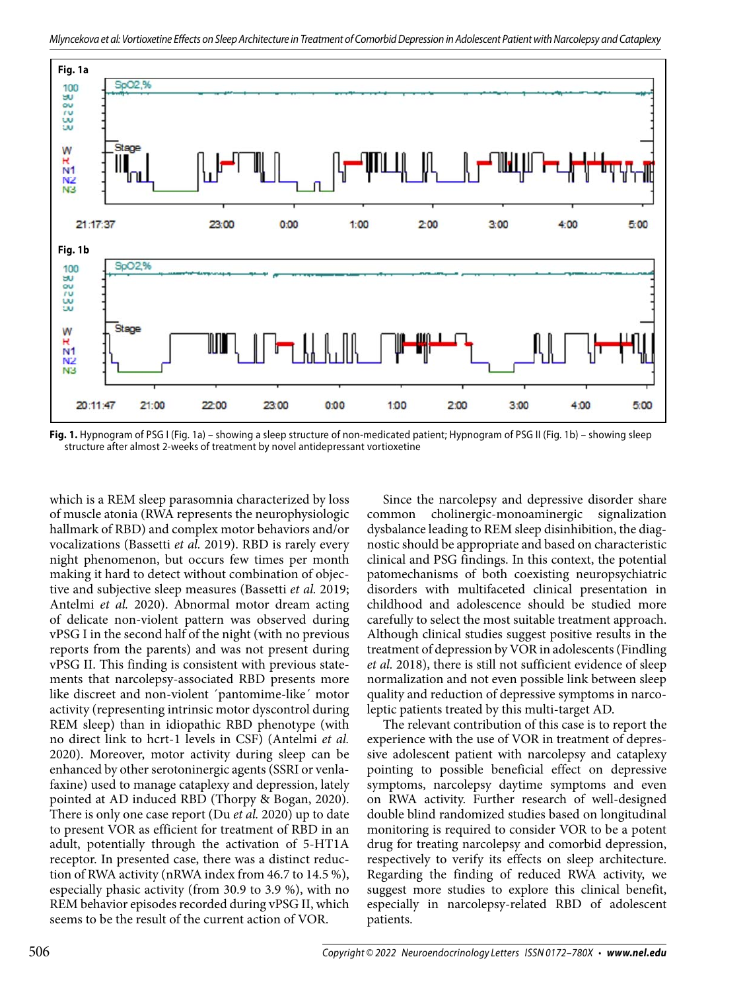

**Fig. 1.** Hypnogram of PSG I (Fig. 1a) – showing a sleep structure of non-medicated patient; Hypnogram of PSG II (Fig. 1b) – showing sleep structure after almost 2-weeks of treatment by novel antidepressant vortioxetine

which is a REM sleep parasomnia characterized by loss of muscle atonia (RWA represents the neurophysiologic hallmark of RBD) and complex motor behaviors and/or vocalizations (Bassetti *et al.* 2019). RBD is rarely every night phenomenon, but occurs few times per month making it hard to detect without combination of objective and subjective sleep measures (Bassetti *et al.* 2019; Antelmi *et al.* 2020). Abnormal motor dream acting of delicate non-violent pattern was observed during vPSG I in the second half of the night (with no previous reports from the parents) and was not present during vPSG II. This finding is consistent with previous statements that narcolepsy-associated RBD presents more like discreet and non-violent ´pantomime-like´ motor activity (representing intrinsic motor dyscontrol during REM sleep) than in idiopathic RBD phenotype (with no direct link to hcrt-1 levels in CSF) (Antelmi *et al.* 2020). Moreover, motor activity during sleep can be enhanced by other serotoninergic agents (SSRI or venlafaxine) used to manage cataplexy and depression, lately pointed at AD induced RBD (Thorpy & Bogan, 2020). There is only one case report (Du *et al.* 2020) up to date to present VOR as efficient for treatment of RBD in an adult, potentially through the activation of 5-HT1A receptor. In presented case, there was a distinct reduction of RWA activity (nRWA index from 46.7 to 14.5 %), especially phasic activity (from 30.9 to 3.9 %), with no REM behavior episodes recorded during vPSG II, which seems to be the result of the current action of VOR.

Since the narcolepsy and depressive disorder share common cholinergic-monoaminergic signalization dysbalance leading to REM sleep disinhibition, the diagnostic should be appropriate and based on characteristic clinical and PSG findings. In this context, the potential patomechanisms of both coexisting neuropsychiatric disorders with multifaceted clinical presentation in childhood and adolescence should be studied more carefully to select the most suitable treatment approach. Although clinical studies suggest positive results in the treatment of depression by VOR in adolescents (Findling *et al.* 2018), there is still not sufficient evidence of sleep normalization and not even possible link between sleep quality and reduction of depressive symptoms in narcoleptic patients treated by this multi-target AD.

The relevant contribution of this case is to report the experience with the use of VOR in treatment of depressive adolescent patient with narcolepsy and cataplexy pointing to possible beneficial effect on depressive symptoms, narcolepsy daytime symptoms and even on RWA activity. Further research of well-designed double blind randomized studies based on longitudinal monitoring is required to consider VOR to be a potent drug for treating narcolepsy and comorbid depression, respectively to verify its effects on sleep architecture. Regarding the finding of reduced RWA activity, we suggest more studies to explore this clinical benefit, especially in narcolepsy-related RBD of adolescent patients.